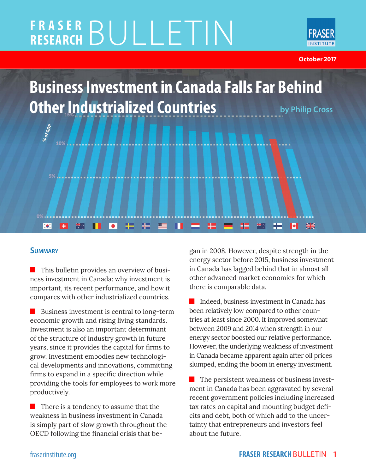# **FRASER RESEARCH** BULLETIN



**October 2017**

**Business Investment in Canada Falls Far Behind Other Industrialized Countries by Philip Cross**  ${}^{86}$ of GDp 10%

卡

#### **Summary**

 $\left| \cdot \right|$ 

 $\blacksquare$  This bulletin provides an overview of business investment in Canada: why investment is important, its recent performance, and how it compares with other industrialized countries.

 $\bullet$ 

米门

Business investment is central to long-term economic growth and rising living standards. Investment is also an important determinant of the structure of industry growth in future years, since it provides the capital for firms to grow. Investment embodies new technological developments and innovations, committing firms to expand in a specific direction while providing the tools for employees to work more productively.

 $\blacksquare$  There is a tendency to assume that the weakness in business investment in Canada is simply part of slow growth throughout the OECD following the financial crisis that began in 2008. However, despite strength in the energy sector before 2015, business investment in Canada has lagged behind that in almost all other advanced market economies for which there is comparable data.

æ

 $\blacktriangleright$ 

₩

 Indeed, business investment in Canada has been relatively low compared to other countries at least since 2000. It improved somewhat between 2009 and 2014 when strength in our energy sector boosted our relative performance. However, the underlying weakness of investment in Canada became apparent again after oil prices slumped, ending the boom in energy investment.

 The persistent weakness of business investment in Canada has been aggravated by several recent government policies including increased tax rates on capital and mounting budget deficits and debt, both of which add to the uncertainty that entrepreneurs and investors feel about the future.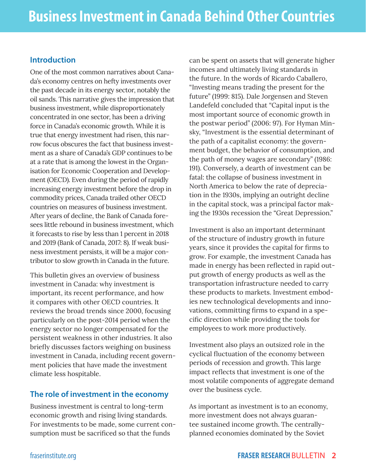#### **Introduction**

One of the most common narratives about Canada's economy centres on hefty investments over the past decade in its energy sector, notably the oil sands. This narrative gives the impression that business investment, while disproportionately concentrated in one sector, has been a driving force in Canada's economic growth. While it is true that energy investment had risen, this narrow focus obscures the fact that business investment as a share of Canada's GDP continues to be at a rate that is among the lowest in the Organisation for Economic Cooperation and Development (OECD). Even during the period of rapidly increasing energy investment before the drop in commodity prices, Canada trailed other OECD countries on measures of business investment. After years of decline, the Bank of Canada foresees little rebound in business investment, which it forecasts to rise by less than 1 percent in 2018 and 2019 (Bank of Canada, 2017: 8). If weak business investment persists, it will be a major contributor to slow growth in Canada in the future.

This bulletin gives an overview of business investment in Canada: why investment is important, its recent performance, and how it compares with other OECD countries. It reviews the broad trends since 2000, focusing particularly on the post-2014 period when the energy sector no longer compensated for the persistent weakness in other industries. It also briefly discusses factors weighing on business investment in Canada, including recent government policies that have made the investment climate less hospitable.

#### **The role of investment in the economy**

Business investment is central to long-term economic growth and rising living standards. For investments to be made, some current consumption must be sacrificed so that the funds

can be spent on assets that will generate higher incomes and ultimately living standards in the future. In the words of Ricardo Caballero, "Investing means trading the present for the future" (1999: 815). Dale Jorgensen and Steven Landefeld concluded that "Capital input is the most important source of economic growth in the postwar period" (2006: 97). For Hyman Minsky, "Investment is the essential determinant of the path of a capitalist economy: the government budget, the behavior of consumption, and the path of money wages are secondary" (1986: 191). Conversely, a dearth of investment can be fatal: the collapse of business investment in North America to below the rate of depreciation in the 1930s, implying an outright decline in the capital stock, was a principal factor making the 1930s recession the "Great Depression."

Investment is also an important determinant of the structure of industry growth in future years, since it provides the capital for firms to grow. For example, the investment Canada has made in energy has been reflected in rapid output growth of energy products as well as the transportation infrastructure needed to carry these products to markets. Investment embodies new technological developments and innovations, committing firms to expand in a specific direction while providing the tools for employees to work more productively.

Investment also plays an outsized role in the cyclical fluctuation of the economy between periods of recession and growth. This large impact reflects that investment is one of the most volatile components of aggregate demand over the business cycle.

As important as investment is to an economy, more investment does not always guarantee sustained income growth. The centrallyplanned economies dominated by the Soviet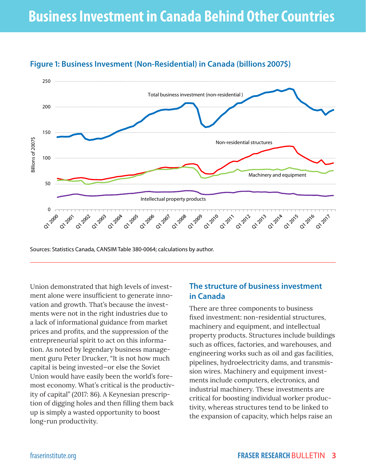

### **Figure 1: Business Invesment (Non-Residential) in Canada (billions 2007\$)**

Sources: Statistics Canada, CANSIM Table 380-0064; calculations by author.

Union demonstrated that high levels of investment alone were insufficient to generate innovation and growth. That's because the investments were not in the right industries due to a lack of informational guidance from market prices and profits, and the suppression of the entrepreneurial spirit to act on this information. As noted by legendary business management guru Peter Drucker, "It is not how much capital is being invested—or else the Soviet Union would have easily been the world's foremost economy. What's critical is the productivity of capital" (2017: 86). A Keynesian prescription of digging holes and then filling them back up is simply a wasted opportunity to boost long-run productivity.

#### **The structure of business investment in Canada**

There are three components to business fixed investment: non-residential structures, machinery and equipment, and intellectual property products. Structures include buildings such as offices, factories, and warehouses, and engineering works such as oil and gas facilities, pipelines, hydroelectricity dams, and transmission wires. Machinery and equipment investments include computers, electronics, and industrial machinery. These investments are critical for boosting individual worker productivity, whereas structures tend to be linked to the expansion of capacity, which helps raise an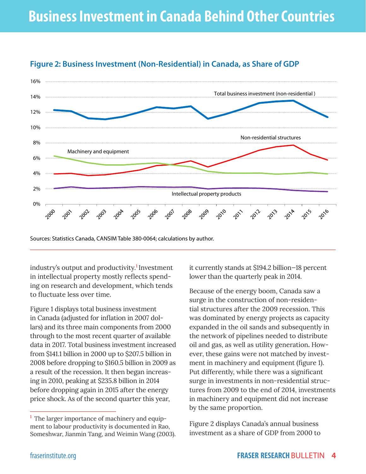

#### **Figure 2: Business Investment (Non-Residential) in Canada, as Share of GDP**

Sources: Statistics Canada, CANSIM Table 380-0064; calculations by author.

industry's output and productivity.<sup>1</sup> Investment in intellectual property mostly reflects spending on research and development, which tends to fluctuate less over time.

Figure 1 displays total business investment in Canada (adjusted for inflation in 2007 dollars) and its three main components from 2000 through to the most recent quarter of available data in 2017. Total business investment increased from \$141.1 billion in 2000 up to \$207.5 billion in 2008 before dropping to \$160.5 billion in 2009 as a result of the recession. It then began increasing in 2010, peaking at \$235.8 billion in 2014 before dropping again in 2015 after the energy price shock. As of the second quarter this year,

it currently stands at \$194.2 billion—18 percent lower than the quarterly peak in 2014.

Because of the energy boom, Canada saw a surge in the construction of non-residential structures after the 2009 recession. This was dominated by energy projects as capacity expanded in the oil sands and subsequently in the network of pipelines needed to distribute oil and gas, as well as utility generation**.** However, these gains were not matched by investment in machinery and equipment (figure 1). Put differently, while there was a significant surge in investments in non-residential structures from 2009 to the end of 2014, investments in machinery and equipment did not increase by the same proportion.

Figure 2 displays Canada's annual business investment as a share of GDP from 2000 to

 $<sup>1</sup>$  The larger importance of machinery and equip-</sup> ment to labour productivity is documented in Rao, Someshwar, Jianmin Tang, and Weimin Wang (2003).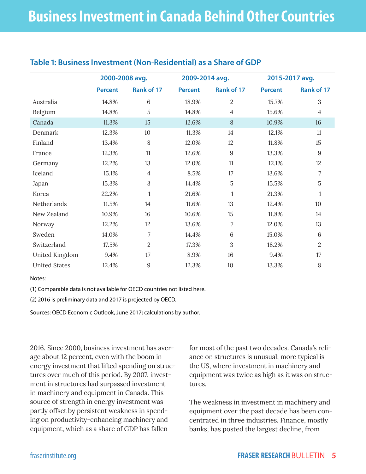|                       | 2000-2008 avg. |                | 2009-2014 avg. |                | 2015-2017 avg. |            |  |  |
|-----------------------|----------------|----------------|----------------|----------------|----------------|------------|--|--|
|                       | <b>Percent</b> | Rank of 17     | <b>Percent</b> | Rank of 17     | <b>Percent</b> | Rank of 17 |  |  |
| Australia             | 14.8%          | 6              | 18.9%          | $\overline{2}$ | 15.7%          | 3          |  |  |
| Belgium               | 14.8%          | 5              | 14.8%          | $\overline{4}$ | 15.6%          | 4          |  |  |
| Canada                | 11.3%          | 15             | 12.6%          | 8              | 10.9%          | 16         |  |  |
| <b>Denmark</b>        | 12.3%          | 10             | 11.3%          | 14             | 12.1%          | 11         |  |  |
| Finland               | 13.4%          | 8              | 12.0%          | 12             | 11.8%          | 15         |  |  |
| France                | 12.3%          | 11             | 12.6%          | 9              | 13.3%          | 9          |  |  |
| Germany               | 12.2%          | 13             | 12.0%          | 11             | 12.1%          | 12         |  |  |
| Iceland               | 15.1%          | 4              | 8.5%           | 17             | 13.6%          | 7          |  |  |
| Japan                 | 15.3%          | 3              | 14.4%          | 5              | 15.5%          | 5          |  |  |
| Korea                 | 22.2%          | 1              | 21.6%          | $\mathbf{1}$   | 21.3%          | 1          |  |  |
| Netherlands           | 11.5%          | 14             | 11.6%          | 13             | 12.4%          | 10         |  |  |
| New Zealand           | 10.9%          | 16             | 10.6%          | 15             | 11.8%          | 14         |  |  |
| Norway                | 12.2%          | 12             | 13.6%          | 7              | 12.0%          | 13         |  |  |
| Sweden                | 14.0%          | 7              | 14.4%          | 6              | 15.0%          | 6          |  |  |
| Switzerland           | 17.5%          | $\overline{2}$ | 17.3%          | 3              | 18.2%          | 2          |  |  |
| <b>United Kingdom</b> | 9.4%           | 17             | 8.9%           | 16             | 9.4%           | 17         |  |  |
| <b>United States</b>  | 12.4%          | 9              | 12.3%          | 10             | 13.3%          | 8          |  |  |

#### **Table 1: Business Investment (Non-Residential) as a Share of GDP**

Notes:

(1) Comparable data is not available for OECD countries not listed here.

(2) 2016 is preliminary data and 2017 is projected by OECD.

Sources: OECD Economic Outlook, June 2017; calculations by author.

2016. Since 2000, business investment has average about 12 percent, even with the boom in energy investment that lifted spending on structures over much of this period. By 2007, investment in structures had surpassed investment in machinery and equipment in Canada. This source of strength in energy investment was partly offset by persistent weakness in spending on productivity-enhancing machinery and equipment, which as a share of GDP has fallen

for most of the past two decades. Canada's reliance on structures is unusual; more typical is the US, where investment in machinery and equipment was twice as high as it was on structures.

The weakness in investment in machinery and equipment over the past decade has been concentrated in three industries. Finance, mostly banks, has posted the largest decline, from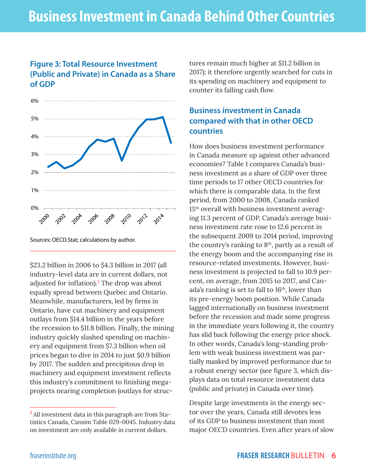#### **Figure 3: Total Resource Investment (Public and Private) in Canada as a Share of GDP**



Sources: OECD.Stat; calculations by author.

\$23.2 billion in 2006 to \$4.3 billion in 2017 (all industry-level data are in current dollars, not adjusted for inflation).<sup>2</sup> The drop was about equally spread between Quebec and Ontario. Meanwhile, manufacturers, led by firms in Ontario, have cut machinery and equipment outlays from \$14.4 billion in the years before the recession to \$11.8 billion. Finally, the mining industry quickly slashed spending on machinery and equipment from \$7.3 billion when oil prices began to dive in 2014 to just \$0.9 billion by 2017. The sudden and precipitous drop in machinery and equipment investment reflects this industry's commitment to finishing megaprojects nearing completion (outlays for struc-

tures remain much higher at \$11.2 billion in 2017); it therefore urgently searched for cuts in its spending on machinery and equipment to counter its falling cash flow.

#### **Business investment in Canada compared with that in other OECD countries**

How does business investment performance in Canada measure up against other advanced economies? Table 1 compares Canada's business investment as a share of GDP over three time periods to 17 other OECD countries for which there is comparable data. In the first period, from 2000 to 2008, Canada ranked 15th overall with business investment averaging 11.3 percent of GDP. Canada's average business investment rate rose to 12.6 percent in the subsequent 2009 to 2014 period, improving the country's ranking to  $8<sup>th</sup>$ , partly as a result of the energy boom and the accompanying rise in resource-related investments. However, business investment is projected to fall to 10.9 percent, on average, from 2015 to 2017, and Canada's ranking is set to fall to 16<sup>th</sup>, lower than its pre-energy boom position. While Canada lagged internationally on business investment before the recession and made some progress in the immediate years following it, the country has slid back following the energy price shock. In other words, Canada's long-standing problem with weak business investment was partially masked by improved performance due to a robust energy sector (see figure 3, which displays data on total resource investment data (public and private) in Canada over time).

Despite large investments in the energy sector over the years, Canada still devotes less of its GDP to business investment than most major OECD countries. Even after years of slow

<sup>&</sup>lt;sup>2</sup> All investment data in this paragraph are from Statistics Canada, Cansim Table 029-0045. Industry data on investment are only available in current dollars.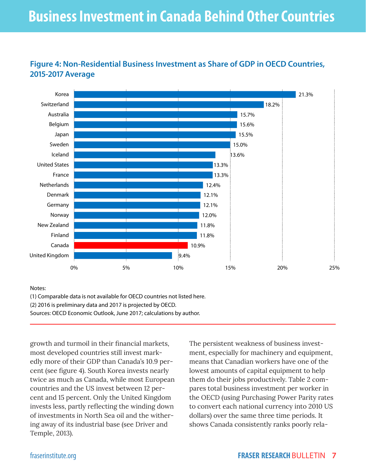## **Business Investment in Canada Behind Other Countries**



#### **Figure 4: Non-Residential Business Investment as Share of GDP in OECD Countries, 2015-2017 Average**

Notes:

(1) Comparable data is not available for OECD countries not listed here.

(2) 2016 is preliminary data and 2017 is projected by OECD.

Sources: OECD Economic Outlook, June 2017; calculations by author.

growth and turmoil in their financial markets, most developed countries still invest markedly more of their GDP than Canada's 10.9 percent (see figure 4). South Korea invests nearly twice as much as Canada, while most European countries and the US invest between 12 percent and 15 percent. Only the United Kingdom invests less, partly reflecting the winding down of investments in North Sea oil and the withering away of its industrial base (see Driver and Temple, 2013).

The persistent weakness of business investment, especially for machinery and equipment, means that Canadian workers have one of the lowest amounts of capital equipment to help them do their jobs productively. Table 2 compares total business investment per worker in the OECD (using Purchasing Power Parity rates to convert each national currency into 2010 US dollars) over the same three time periods. It shows Canada consistently ranks poorly rela-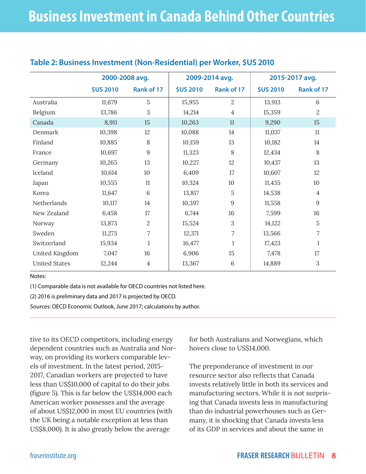|                      | 2000-2008 avg.   |                | 2009-2014 avg.   |                | 2015-2017 avg.   |                |
|----------------------|------------------|----------------|------------------|----------------|------------------|----------------|
|                      | <b>\$US 2010</b> | Rank of 17     | <b>\$US 2010</b> | Rank of 17     | <b>\$US 2010</b> | Rank of 17     |
| Australia            | 11,679           | 5              | 15,955           | $\overline{2}$ | 13,913           | 6              |
| Belgium              | 13,786           | 3              | 14,214           | $\overline{4}$ | 15,359           | $\overline{2}$ |
| Canada               | 8,911            | 15             | 10,263           | 11             | 9,290            | 15             |
| Denmark              | 10,398           | 12             | 10,088           | 14             | 11,037           | 11             |
| Finland              | 10,885           | 8              | 10,159           | 13             | 10,182           | 14             |
| France               | 10,697           | 9              | 11,323           | 8              | 12,434           | 8              |
| Germany              | 10,265           | 13             | 10,227           | 12             | 10,437           | 13             |
| Iceland              | 10,614           | 10             | 6,409            | 17             | 10,607           | 12             |
| Japan                | 10,555           | 11             | 10,324           | 10             | 11,435           | 10             |
| Korea                | 11,647           | 6              | 13,817           | 5              | 14,538           | $\overline{4}$ |
| Netherlands          | 10,117           | 14             | 10,397           | 9              | 11,558           | 9              |
| New Zealand          | 6,458            | 17             | 6,744            | 16             | 7,599            | 16             |
| Norway               | 13,873           | $\overline{2}$ | 15,524           | 3              | 14,122           | 5              |
| Sweden               | 11,273           | 7              | 12,371           | 7              | 13,566           | $\overline{7}$ |
| Switzerland          | 15,934           | 1              | 16,477           | 1              | 17,423           | 1              |
| United Kingdom       | 7,047            | 16             | 6,906            | 15             | 7,478            | 17             |
| <b>United States</b> | 12,244           | $\overline{4}$ | 13,367           | 6              | 14,889           | 3              |
|                      |                  |                |                  |                |                  |                |

#### **Table 2: Business Investment (Non-Residential) per Worker, \$US 2010**

Notes:

(1) Comparable data is not available for OECD countries not listed here.

(2) 2016 is preliminary data and 2017 is projected by OECD.

Sources: OECD Economic Outlook, June 2017; calculations by author.

tive to its OECD competitors, including energy dependent countries such as Australia and Norway, on providing its workers comparable levels of investment. In the latest period, 2015- 2017, Canadian workers are projected to have less than US\$10,000 of capital to do their jobs (figure 5). This is far below the US\$14,000 each American worker possesses and the average of about US\$12,000 in most EU countries (with the UK being a notable exception at less than US\$8,000). It is also greatly below the average

for both Australians and Norwegians, which hovers close to US\$14,000.

The preponderance of investment in our resource sector also reflects that Canada invests relatively little in both its services and manufacturing sectors. While it is not surprising that Canada invests less in manufacturing than do industrial powerhouses such as Germany, it is shocking that Canada invests less of its GDP in services and about the same in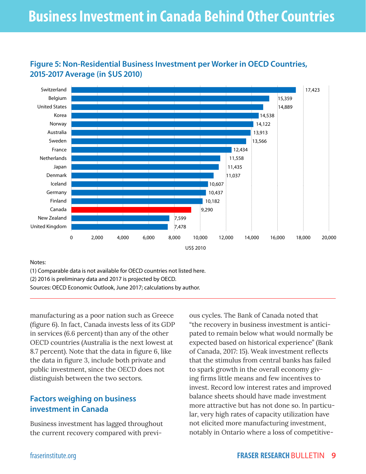## **Business Investment in Canada Behind Other Countries**



#### **Figure 5: Non-Residential Business Investment per Worker in OECD Countries, 2015-2017 Average (in \$US 2010)**

Notes:

(1) Comparable data is not available for OECD countries not listed here. (2) 2016 is preliminary data and 2017 is projected by OECD.

Sources: OECD Economic Outlook, June 2017; calculations by author.

manufacturing as a poor nation such as Greece (figure 6). In fact, Canada invests less of its GDP in services (6.6 percent) than any of the other OECD countries (Australia is the next lowest at 8.7 percent). Note that the data in figure 6, like the data in figure 3, include both private and public investment, since the OECD does not distinguish between the two sectors.

#### **Factors weighing on business investment in Canada**

Business investment has lagged throughout the current recovery compared with previ-

ous cycles. The Bank of Canada noted that "the recovery in business investment is anticipated to remain below what would normally be expected based on historical experience" (Bank of Canada, 2017: 15). Weak investment reflects that the stimulus from central banks has failed to spark growth in the overall economy giving firms little means and few incentives to invest. Record low interest rates and improved balance sheets should have made investment more attractive but has not done so. In particular, very high rates of capacity utilization have not elicited more manufacturing investment, notably in Ontario where a loss of competitive-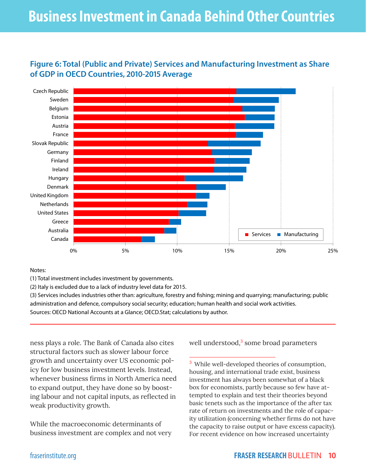## **Business Investment in Canada Behind Other Countries**

#### **Figure 6: Total (Public and Private) Services and Manufacturing Investment as Share of GDP in OECD Countries, 2010-2015 Average**



Notes:

(1) Total investment includes investment by governments.

(2) Italy is excluded due to a lack of industry level data for 2015.

(3) Services includes industries other than: agriculture, forestry and fishing; mining and quarrying; manufacturing; public administration and defence, compulsory social security; education; human health and social work activities.

Sources: OECD National Accounts at a Glance; OECD.Stat; calculations by author.

ness plays a role. The Bank of Canada also cites structural factors such as slower labour force growth and uncertainty over US economic policy for low business investment levels. Instead, whenever business firms in North America need to expand output, they have done so by boosting labour and not capital inputs, as reflected in weak productivity growth.

While the macroeconomic determinants of business investment are complex and not very well understood,<sup>3</sup> some broad parameters

<sup>3</sup> While well-developed theories of consumption, housing, and international trade exist, business investment has always been somewhat of a black box for economists, partly because so few have attempted to explain and test their theories beyond basic tenets such as the importance of the after tax rate of return on investments and the role of capacity utilization (concerning whether firms do not have the capacity to raise output or have excess capacity). For recent evidence on how increased uncertainty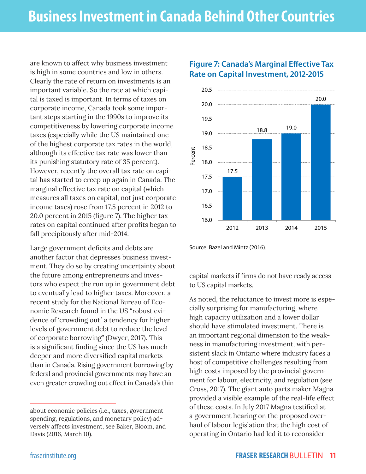are known to affect why business investment is high in some countries and low in others. Clearly the rate of return on investments is an important variable. So the rate at which capital is taxed is important. In terms of taxes on corporate income, Canada took some important steps starting in the 1990s to improve its competitiveness by lowering corporate income taxes (especially while the US maintained one of the highest corporate tax rates in the world, although its effective tax rate was lower than its punishing statutory rate of 35 percent). However, recently the overall tax rate on capital has started to creep up again in Canada. The marginal effective tax rate on capital (which measures all taxes on capital, not just corporate income taxes) rose from 17.5 percent in 2012 to 20.0 percent in 2015 (figure 7). The higher tax rates on capital continued after profits began to fall precipitously after mid-2014.

Large government deficits and debts are another factor that depresses business investment. They do so by creating uncertainty about the future among entrepreneurs and investors who expect the run up in government debt to eventually lead to higher taxes. Moreover, a recent study for the National Bureau of Economic Research found in the US "robust evidence of 'crowding out,' a tendency for higher levels of government debt to reduce the level of corporate borrowing" (Dwyer, 2017). This is a significant finding since the US has much deeper and more diversified capital markets than in Canada. Rising government borrowing by federal and provincial governments may have an even greater crowding out effect in Canada's thin



#### **Figure 7: Canada's Marginal Effective Tax Rate on Capital Investment, 2012-2015**

Source: Bazel and Mintz (2016).

capital markets if firms do not have ready access to US capital markets.

As noted, the reluctance to invest more is especially surprising for manufacturing, where high capacity utilization and a lower dollar should have stimulated investment. There is an important regional dimension to the weakness in manufacturing investment, with persistent slack in Ontario where industry faces a host of competitive challenges resulting from high costs imposed by the provincial government for labour, electricity, and regulation (see Cross, 2017). The giant auto parts maker Magna provided a visible example of the real-life effect of these costs. In July 2017 Magna testified at a government hearing on the proposed overhaul of labour legislation that the high cost of operating in Ontario had led it to reconsider

about economic policies (i.e., taxes, government spending, regulations, and monetary policy) adversely affects investment, see Baker, Bloom, and Davis (2016, March 10).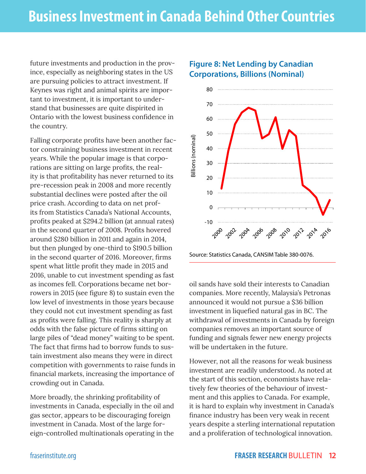future investments and production in the province, especially as neighboring states in the US are pursuing policies to attract investment. If Keynes was right and animal spirits are important to investment, it is important to understand that businesses are quite dispirited in Ontario with the lowest business confidence in the country.

Falling corporate profits have been another factor constraining business investment in recent years. While the popular image is that corporations are sitting on large profits, the reality is that profitability has never returned to its pre-recession peak in 2008 and more recently substantial declines were posted after the oil price crash. According to data on net profits from Statistics Canada's National Accounts, profits peaked at \$294.2 billion (at annual rates) in the second quarter of 2008. Profits hovered around \$280 billion in 2011 and again in 2014, but then plunged by one-third to \$190.5 billion in the second quarter of 2016. Moreover, firms spent what little profit they made in 2015 and 2016, unable to cut investment spending as fast as incomes fell. Corporations became net borrowers in 2015 (see figure 8) to sustain even the low level of investments in those years because they could not cut investment spending as fast as profits were falling. This reality is sharply at odds with the false picture of firms sitting on large piles of "dead money" waiting to be spent. The fact that firms had to borrow funds to sustain investment also means they were in direct competition with governments to raise funds in financial markets, increasing the importance of crowding out in Canada.

More broadly, the shrinking profitability of investments in Canada, especially in the oil and gas sector, appears to be discouraging foreign investment in Canada. Most of the large foreign-controlled multinationals operating in the

#### **Figure 8: Net Lending by Canadian Corporations, Billions (Nominal)**



Source: Statistics Canada, CANSIM Table 380-0076.

oil sands have sold their interests to Canadian companies. More recently, Malaysia's Petronas announced it would not pursue a \$36 billion investment in liquefied natural gas in BC. The withdrawal of investments in Canada by foreign companies removes an important source of funding and signals fewer new energy projects will be undertaken in the future.

However, not all the reasons for weak business investment are readily understood. As noted at the start of this section, economists have relatively few theories of the behaviour of investment and this applies to Canada. For example, it is hard to explain why investment in Canada's finance industry has been very weak in recent years despite a sterling international reputation and a proliferation of technological innovation.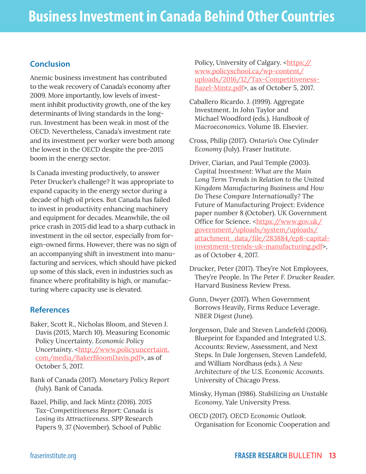#### **Conclusion**

Anemic business investment has contributed to the weak recovery of Canada's economy after 2009. More importantly, low levels of investment inhibit productivity growth, one of the key determinants of living standards in the longrun. Investment has been weak in most of the OECD. Nevertheless, Canada's investment rate and its investment per worker were both among the lowest in the OECD despite the pre-2015 boom in the energy sector.

Is Canada investing productively, to answer Peter Drucker's challenge? It was appropriate to expand capacity in the energy sector during a decade of high oil prices. But Canada has failed to invest in productivity enhancing machinery and equipment for decades. Meanwhile, the oil price crash in 2015 did lead to a sharp cutback in investment in the oil sector, especially from foreign-owned firms. However, there was no sign of an accompanying shift in investment into manufacturing and services, which should have picked up some of this slack, even in industries such as finance where profitability is high, or manufacturing where capacity use is elevated.

#### **References**

- Baker, Scott R., Nicholas Bloom, and Steven J. Davis (2015, March 10). Measuring Economic Policy Uncertainty. *Economic Policy Uncertainty.* [<http://www.policyuncertaint.](http://www.policyuncertainty.com/media/BakerBloomDavis.pdf) [com/media/BakerBloomDavis.pdf](http://www.policyuncertainty.com/media/BakerBloomDavis.pdf)>, as of October 5, 2017.
- Bank of Canada (2017). *Monetary Policy Report* (July). Bank of Canada.
- Bazel, Philip, and Jack Mintz (2016). 2*015 Tax-Competitiveness Report: Canada is Losing its Attractiveness*. SPP Research Papers 9, 37 (November). School of Public

Policy, University of Calgary. <https:// www.policyschool.ca/wp-content/ uploads/2016/12/Tax-Competitiveness-Bazel-Mintz.pdf>, as of October 5, 2017.

- Caballero Ricardo. J. (1999). Aggregate Investment. In John Taylor and Michael Woodford (eds.). *Handbook of Macroeconomics*. Volume 1B. Elsevier.
- Cross, Philip (2017). *Ontario's One Cylinder Economy* (July). Fraser Institute.
- Driver, Ciarian, and Paul Temple (2003*). Capital Investment: What are the Main Long Term Trends in Relation to the United Kingdom Manufacturing Business and How Do These Compare Internationally?* The Future of Manufacturing Project: Evidence paper number 8 (October). UK Government Office for Science. <[https://www.gov.uk/](https://www.gov.uk/government/uploads/system/uploads/attachment_data/file/283884/ep8-capital-investment-trends-uk-manufacturing.pdf) [government/uploads/system/uploads/](https://www.gov.uk/government/uploads/system/uploads/attachment_data/file/283884/ep8-capital-investment-trends-uk-manufacturing.pdf) [attachment\\_data/file/283884/ep8-capital](https://www.gov.uk/government/uploads/system/uploads/attachment_data/file/283884/ep8-capital-investment-trends-uk-manufacturing.pdf)[investment-trends-uk-manufacturing.pdf](https://www.gov.uk/government/uploads/system/uploads/attachment_data/file/283884/ep8-capital-investment-trends-uk-manufacturing.pdf)>, as of October 4, 2017.
- Drucker, Peter (2017). They're Not Employees, They're People. In *The Peter F. Drucker Reader.* Harvard Business Review Press.
- Gunn, Dwyer (2017). When Government Borrows Heavily, Firms Reduce Leverage. *NBER Digest* (June).
- Jorgenson, Dale and Steven Landefeld (2006). Blueprint for Expanded and Integrated U.S. Accounts: Review, Assessment, and Next Steps. In Dale Jorgensen, Steven Landefeld, and William Nordhaus (eds.). *A New Architecture of the U.S. Economic Accounts*. University of Chicago Press.
- Minsky, Hyman (1986). *Stabilizing an Unstable Economy*. Yale University Press.
- OECD (2017). *OECD Economic Outlook.* Organisation for Economic Cooperation and